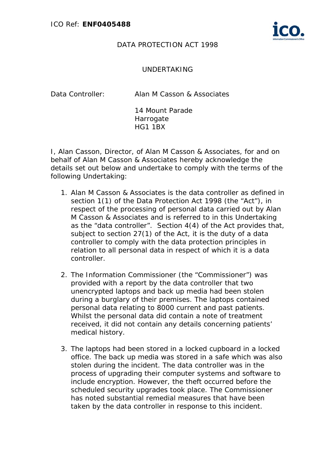

## DATA PROTECTION ACT 1998

## UNDERTAKING

Data Controller: Alan M Casson & Associates

14 Mount Parade **Harrogate** HG1 1BX

I, Alan Casson, Director, of Alan M Casson & Associates, for and on behalf of Alan M Casson & Associates hereby acknowledge the details set out below and undertake to comply with the terms of the following Undertaking:

- 1. Alan M Casson & Associates is the data controller as defined in section 1(1) of the Data Protection Act 1998 (the "Act"), in respect of the processing of personal data carried out by Alan M Casson & Associates and is referred to in this Undertaking as the "data controller". Section 4(4) of the Act provides that, subject to section 27(1) of the Act, it is the duty of a data controller to comply with the data protection principles in relation to all personal data in respect of which it is a data controller.
- 2. The Information Commissioner (the "Commissioner") was provided with a report by the data controller that two unencrypted laptops and back up media had been stolen during a burglary of their premises. The laptops contained personal data relating to 8000 current and past patients. Whilst the personal data did contain a note of treatment received, it did not contain any details concerning patients' medical history.
- 3. The laptops had been stored in a locked cupboard in a locked office. The back up media was stored in a safe which was also stolen during the incident. The data controller was in the process of upgrading their computer systems and software to include encryption. However, the theft occurred before the scheduled security upgrades took place. The Commissioner has noted substantial remedial measures that have been taken by the data controller in response to this incident.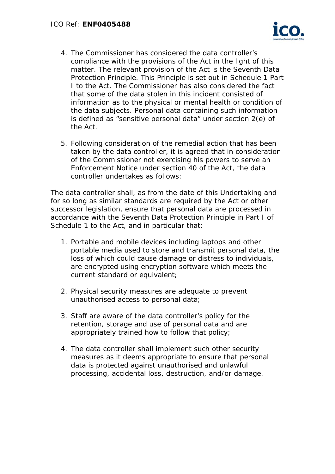

- 4. The Commissioner has considered the data controller's compliance with the provisions of the Act in the light of this matter. The relevant provision of the Act is the Seventh Data Protection Principle. This Principle is set out in Schedule 1 Part I to the Act. The Commissioner has also considered the fact that some of the data stolen in this incident consisted of information as to the physical or mental health or condition of the data subjects. Personal data containing such information is defined as "sensitive personal data" under section 2(e) of the Act.
- 5. Following consideration of the remedial action that has been taken by the data controller, it is agreed that in consideration of the Commissioner not exercising his powers to serve an Enforcement Notice under section 40 of the Act, the data controller undertakes as follows:

The data controller shall, as from the date of this Undertaking and for so long as similar standards are required by the Act or other successor legislation, ensure that personal data are processed in accordance with the Seventh Data Protection Principle in Part I of Schedule 1 to the Act, and in particular that:

- 1. Portable and mobile devices including laptops and other portable media used to store and transmit personal data, the loss of which could cause damage or distress to individuals, are encrypted using encryption software which meets the current standard or equivalent;
- 2. Physical security measures are adequate to prevent unauthorised access to personal data;
- 3. Staff are aware of the data controller's policy for the retention, storage and use of personal data and are appropriately trained how to follow that policy;
- 4. The data controller shall implement such other security measures as it deems appropriate to ensure that personal data is protected against unauthorised and unlawful processing, accidental loss, destruction, and/or damage.